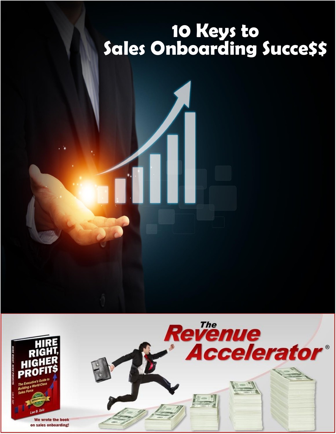# **10 Keys to Sales Onboarding Succe\$\$**

Revenue

**Accelerator®** 

 $\frac{d\mathcal{H}}{dt}$  $\mathscr{D}$ 



We wrote the book on sales onboarding!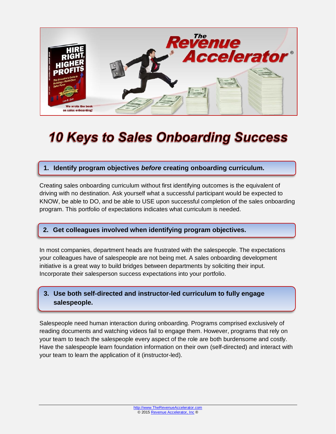

## **10 Keys to Sales Onboarding Success**

#### **1. Identify program objectives** *before* **creating onboarding curriculum. 1. Identify program objectives** *before* **creating onboarding curriculum.**

Creating sales onboarding curriculum without first identifying outcomes is the equivalent of driving with no destination. Ask yourself what a successful participant would be expected to KNOW, be able to DO, and be able to USE upon successful completion of the sales onboarding program. This portfolio of expectations indicates what curriculum is needed.

## **2. Get colleagues involved when identifying program objectives. 2. Get colleagues involved when identifying program objectives.**

In most companies, department heads are frustrated with the salespeople. The expectations your colleagues have of salespeople are not being met. A sales onboarding development initiative is a great way to build bridges between departments by soliciting their input. Incorporate their salesperson success expectations into your portfolio.

## **3. Use both self-directed and instructor-led curriculum to fully engage 3. Use both self-directed and instructor-led curriculum to fully engage salespeople. salespeople.**

Salespeople need human interaction during onboarding. Programs comprised exclusively of reading documents and watching videos fail to engage them. However, programs that rely on your team to teach the salespeople every aspect of the role are both burdensome and costly. Have the salespeople learn foundation information on their own (self-directed) and interact with your team to learn the application of it (instructor-led).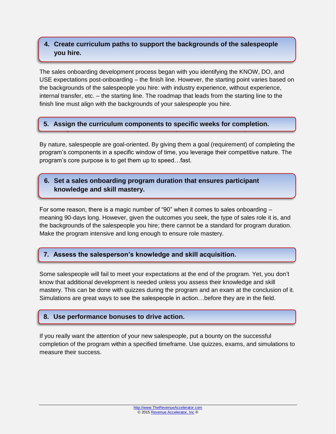### **4.** Create curriculum paths to support the backgrounds of the salespeople **hire. you hire.**

The sales onboarding development process began with you identifying the KNOW, DO, and USE expectations post-onboarding – the finish line. However, the starting point varies based on the backgrounds of the salespeople you hire: with industry experience, without experience, internal transfer, etc. – the starting line. The roadmap that leads from the starting line to the finish line must align with the backgrounds of your salespeople you hire.

## **5. Assign the curriculum components to specific weeks for completion. 5. Assign the curriculum components to specific weeks for completion.**

By nature, salespeople are goal-oriented. By giving them a goal (requirement) of completing the program's components in a specific window of time, you leverage their competitive nature. The program's core purpose is to get them up to speed…fast.

## **6. Set a sales onboarding program duration that ensures participant knowledge 6. Set a sales onboarding program duration that ensures participant and skill mastery. knowledge and skill mastery.**

For some reason, there is a magic number of "90" when it comes to sales onboarding – meaning 90-days long. However, given the outcomes you seek, the type of sales role it is, and the backgrounds of the salespeople you hire; there cannot be a standard for program duration. Make the program intensive and long enough to ensure role mastery.

## **7. Assess the salesperson's knowledge and skill acquisition. 7. Assess the salesperson's knowledge and skill acquisition.**

Some salespeople will fail to meet your expectations at the end of the program. Yet, you don't know that additional development is needed unless you assess their knowledge and skill mastery. This can be done with quizzes during the program and an exam at the conclusion of it. Simulations are great ways to see the salespeople in action…before they are in the field.

## **8. Use performance bonuses to drive action. 8. Use performance bonuses to drive action.**

**7.**

**8.**

If you really want the attention of your new salespeople, put a bounty on the successful completion of the program within a specified timeframe. Use quizzes, exams, and simulations to measure their success.